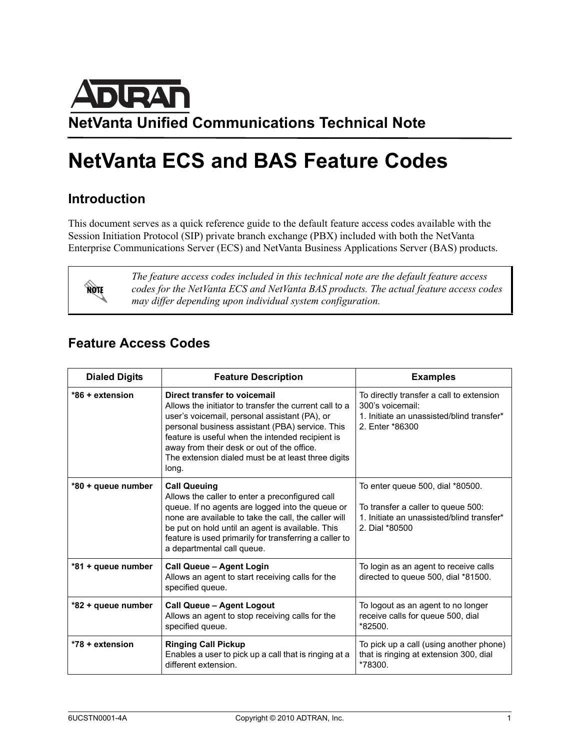

## **NetVanta ECS and BAS Feature Codes**

## **Introduction**

This document serves as a quick reference guide to the default feature access codes available with the Session Initiation Protocol (SIP) private branch exchange (PBX) included with both the NetVanta Enterprise Communications Server (ECS) and NetVanta Business Applications Server (BAS) products.



*The feature access codes included in this technical note are the default feature access codes for the NetVanta ECS and NetVanta BAS products. The actual feature access codes may differ depending upon individual system configuration.*

## **Feature Access Codes**

| <b>Dialed Digits</b> | <b>Feature Description</b>                                                                                                                                                                                                                                                                                                                                  | <b>Examples</b>                                                                                                                       |
|----------------------|-------------------------------------------------------------------------------------------------------------------------------------------------------------------------------------------------------------------------------------------------------------------------------------------------------------------------------------------------------------|---------------------------------------------------------------------------------------------------------------------------------------|
| $*86 +$ extension    | Direct transfer to voicemail<br>Allows the initiator to transfer the current call to a<br>user's voicemail, personal assistant (PA), or<br>personal business assistant (PBA) service. This<br>feature is useful when the intended recipient is<br>away from their desk or out of the office.<br>The extension dialed must be at least three digits<br>long. | To directly transfer a call to extension<br>300's voicemail:<br>1. Initiate an unassisted/blind transfer*<br>2. Enter *86300          |
| *80 + queue number   | <b>Call Queuing</b><br>Allows the caller to enter a preconfigured call<br>queue. If no agents are logged into the queue or<br>none are available to take the call, the caller will<br>be put on hold until an agent is available. This<br>feature is used primarily for transferring a caller to<br>a departmental call queue.                              | To enter queue 500, dial *80500.<br>To transfer a caller to queue 500:<br>1. Initiate an unassisted/blind transfer*<br>2. Dial *80500 |
| *81 + queue number   | Call Queue - Agent Login<br>Allows an agent to start receiving calls for the<br>specified queue.                                                                                                                                                                                                                                                            | To login as an agent to receive calls<br>directed to queue 500, dial *81500.                                                          |
| *82 + queue number   | <b>Call Queue - Agent Logout</b><br>Allows an agent to stop receiving calls for the<br>specified queue.                                                                                                                                                                                                                                                     | To logout as an agent to no longer<br>receive calls for queue 500, dial<br>*82500.                                                    |
| *78 + extension      | <b>Ringing Call Pickup</b><br>Enables a user to pick up a call that is ringing at a<br>different extension.                                                                                                                                                                                                                                                 | To pick up a call (using another phone)<br>that is ringing at extension 300, dial<br>*78300.                                          |